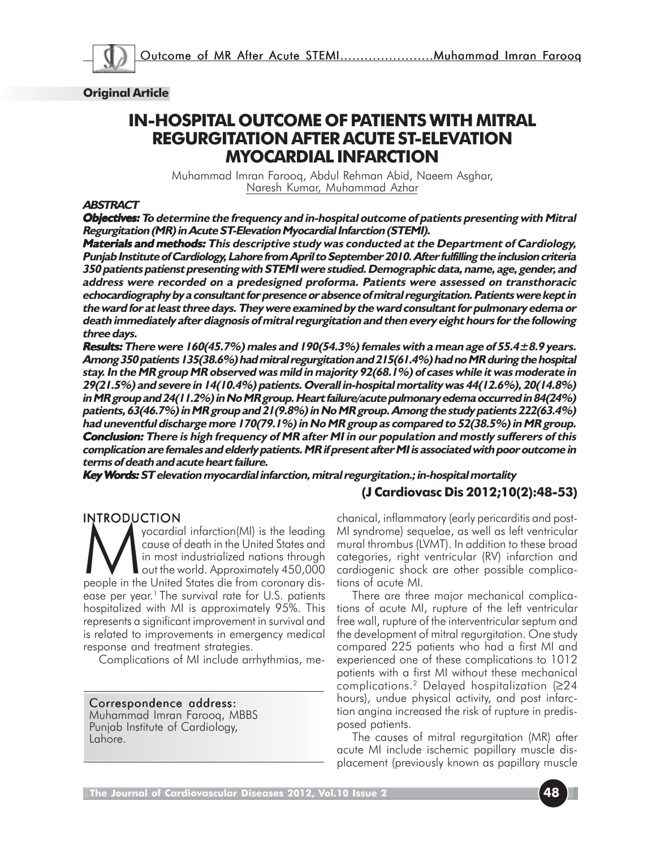

#### **Original Article**

# **IN-HOSPITAL OUTCOME OF PATIENTS WITH MITRAL REGURGITATION AFTER ACUTE ST-ELEVATION MYOCARDIAL INFARCTION**

Muhammad Imran Farooq, Abdul Rehman Abid, Naeem Asghar, Naresh Kumar, Muhammad Azhar

#### **ABSTRACT**

**Objectives: To determine the frequency and in-hospital outcome of patients presenting with Mitral Regurgitation (MR) in Acute ST-Elevation Myocardial Infarction (STEMI).**

**Materials and methods:** This descriptive study was conducted at the Department of Cardiology, **Punjab Institute of Cardiology, Lahore from April to September 2010. After fulfilling the inclusion criteria 350 patients patienst presenting with STEMI were studied. Demographic data, name, age, gender, and address were recorded on a predesigned proforma. Patients were assessed on transthoracic echocardiography by a consultant for presence or absence of mitral regurgitation. Patients were kept in the ward for at least three days. They were examined by the ward consultant for pulmonary edema or death immediately after diagnosis of mitral regurgitation and then every eight hours for the following three days.**

**Results: There were 160(45.7%) males and 190(54.3%) females with a mean age of 55.4±8.9 years. : Among 350 patients 135(38.6%) had mitral regurgitation and 215(61.4%) had no MR during the hospital stay. In the MR group MR observed was mild in majority 92(68.1%) of cases while it was moderate in 29(21.5%) and severe in 14(10.4%) patients. Overall in-hospital mortality was 44(12.6%), 20(14.8%) in MR group and 24(11.2%) in No MR group. Heart failure/acute pulmonary edema occurred in 84(24%) patients, 63(46.7%) in MR group and 21(9.8%) in No MR group. Among the study patients 222(63.4%) had uneventful discharge more 170(79.1%) in No MR group as compared to 52(38.5%) in MR group. Conclusion:** There is high frequency of MR after MI in our population and mostly sufferers of this **complication are females and elderly patients. MR if present after MI is associated with poor outcome in terms of death and acute heart failure.**

**Key Words: ST elevation myocardial infarction, mitral regurgitation.; in-hospital mortality ords:** 

### **(J Cardiovasc Dis 2012;10(2):48-53)**

INTRODUCTION<br>
yocardial infarction(MI) is the leading<br>cause of death in the United States and<br>
in most industrialized nations through<br>
out the world. Approximately 450,000<br>
people in the United States die from coronary dis cause of death in the United States and in most industrialized nations through **T** out the world. Approximately 450,000 ease per year.<sup>1</sup> The survival rate for U.S. patients hospitalized with MI is approximately 95%. This represents a significant improvement in survival and is related to improvements in emergency medical response and treatment strategies.

Complications of MI include arrhythmias, me-

Correspondence address: Muhammad Imran Farooq, MBBS Punjab Institute of Cardiology, Lahore.

chanical, inflammatory (early pericarditis and post-MI syndrome) sequelae, as well as left ventricular mural thrombus (LVMT). In addition to these broad categories, right ventricular (RV) infarction and cardiogenic shock are other possible complications of acute MI.

There are three major mechanical complications of acute MI, rupture of the left ventricular free wall, rupture of the interventricular septum and the development of mitral regurgitation. One study compared 225 patients who had a first MI and experienced one of these complications to 1012 patients with a first MI without these mechanical complications.2 Delayed hospitalization (≥24 hours), undue physical activity, and post infarction angina increased the risk of rupture in predisposed patients.

The causes of mitral regurgitation (MR) after acute MI include ischemic papillary muscle displacement (previously known as papillary muscle

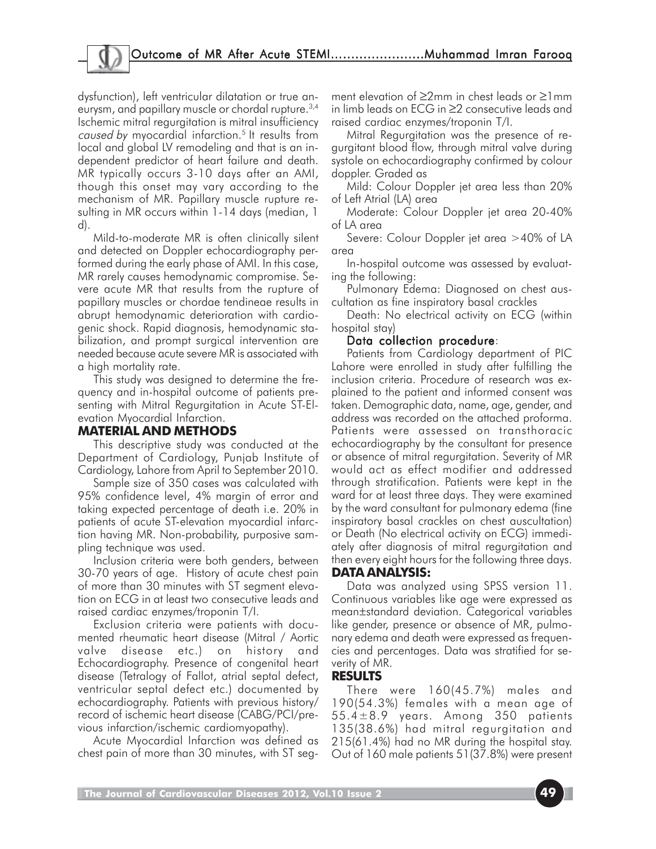dysfunction), left ventricular dilatation or true aneurysm, and papillary muscle or chordal rupture.3,4 Ischemic mitral regurgitation is mitral insufficiency caused by myocardial infarction.<sup>5</sup> It results from local and global LV remodeling and that is an independent predictor of heart failure and death. MR typically occurs 3-10 days after an AMI, though this onset may vary according to the mechanism of MR. Papillary muscle rupture resulting in MR occurs within 1-14 days (median, 1 d).

Mild-to-moderate MR is often clinically silent and detected on Doppler echocardiography performed during the early phase of AMI. In this case, MR rarely causes hemodynamic compromise. Severe acute MR that results from the rupture of papillary muscles or chordae tendineae results in abrupt hemodynamic deterioration with cardiogenic shock. Rapid diagnosis, hemodynamic stabilization, and prompt surgical intervention are needed because acute severe MR is associated with a high mortality rate.

This study was designed to determine the frequency and in-hospital outcome of patients presenting with Mitral Regurgitation in Acute ST-Elevation Myocardial Infarction.

### **MATERIAL AND METHODS**

This descriptive study was conducted at the Department of Cardiology, Punjab Institute of Cardiology, Lahore from April to September 2010.

Sample size of 350 cases was calculated with 95% confidence level, 4% margin of error and taking expected percentage of death i.e. 20% in patients of acute ST-elevation myocardial infarction having MR. Non-probability, purposive sampling technique was used.

Inclusion criteria were both genders, between 30-70 years of age. History of acute chest pain of more than 30 minutes with ST segment elevation on ECG in at least two consecutive leads and raised cardiac enzymes/troponin T/I.

Exclusion criteria were patients with documented rheumatic heart disease (Mitral / Aortic valve disease etc.) on history and Echocardiography. Presence of congenital heart disease (Tetralogy of Fallot, atrial septal defect, ventricular septal defect etc.) documented by echocardiography. Patients with previous history/ record of ischemic heart disease (CABG/PCI/previous infarction/ischemic cardiomyopathy).

Acute Myocardial Infarction was defined as chest pain of more than 30 minutes, with ST seg-

ment elevation of ≥2mm in chest leads or ≥1mm in limb leads on ECG in ≥2 consecutive leads and raised cardiac enzymes/troponin T/I.

Mitral Regurgitation was the presence of regurgitant blood flow, through mitral valve during systole on echocardiography confirmed by colour doppler. Graded as

Mild: Colour Doppler jet area less than 20% of Left Atrial (LA) area

Moderate: Colour Doppler jet area 20-40% of LA area

Severe: Colour Doppler jet area >40% of LA area

In-hospital outcome was assessed by evaluating the following:

Pulmonary Edema: Diagnosed on chest auscultation as fine inspiratory basal crackles

Death: No electrical activity on ECG (within hospital stay)

#### Data collection procedure:

Patients from Cardiology department of PIC Lahore were enrolled in study after fulfilling the inclusion criteria. Procedure of research was explained to the patient and informed consent was taken. Demographic data, name, age, gender, and address was recorded on the attached proforma. Patients were assessed on transthoracic echocardiography by the consultant for presence or absence of mitral regurgitation. Severity of MR would act as effect modifier and addressed through stratification. Patients were kept in the ward for at least three days. They were examined by the ward consultant for pulmonary edema (fine inspiratory basal crackles on chest auscultation) or Death (No electrical activity on ECG) immediately after diagnosis of mitral regurgitation and then every eight hours for the following three days.

#### **DATA ANALYSIS:**

Data was analyzed using SPSS version 11. Continuous variables like age were expressed as mean±standard deviation. Categorical variables like gender, presence or absence of MR, pulmonary edema and death were expressed as frequencies and percentages. Data was stratified for severity of MR.

#### **RESULTS**

There were 160(45.7%) males and 190(54.3%) females with a mean age of 55.4±8.9 years. Among 350 patients 135(38.6%) had mitral regurgitation and 215(61.4%) had no MR during the hospital stay. Out of 160 male patients 51(37.8%) were present

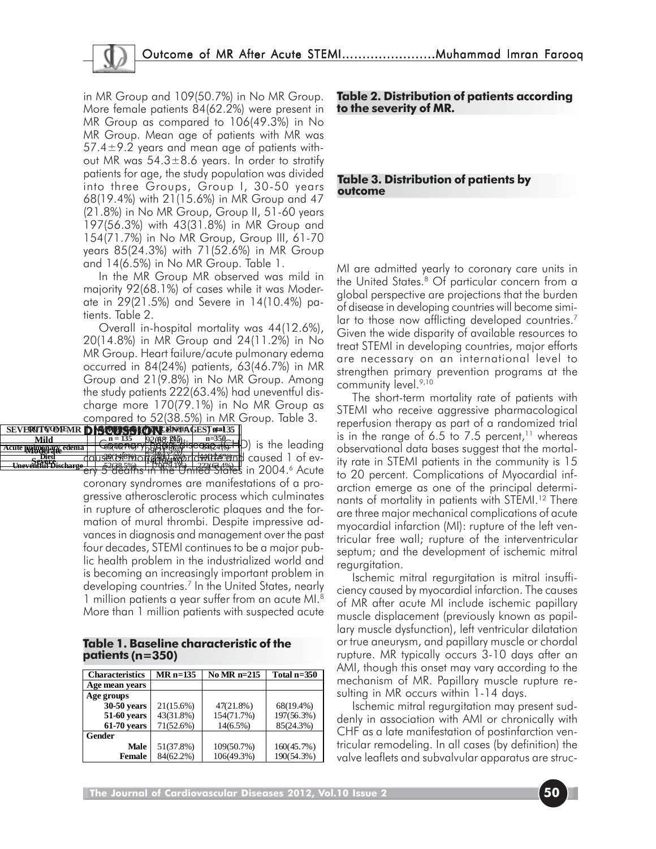in MR Group and 109(50.7%) in No MR Group. More female patients 84(62.2%) were present in MR Group as compared to 106(49.3%) in No MR Group. Mean age of patients with MR was 57.4 $\pm$ 9.2 years and mean age of patients without MR was  $54.3 \pm 8.6$  years. In order to stratify patients for age, the study population was divided into three Groups, Group I, 30-50 years 68(19.4%) with 21(15.6%) in MR Group and 47 (21.8%) in No MR Group, Group II, 51-60 years 197(56.3%) with 43(31.8%) in MR Group and 154(71.7%) in No MR Group, Group III, 61-70 years 85(24.3%) with 71(52.6%) in MR Group and 14(6.5%) in No MR Group. Table 1.

In the MR Group MR observed was mild in majority 92(68.1%) of cases while it was Moderate in 29(21.5%) and Severe in 14(10.4%) patients. Table 2.

Overall in-hospital mortality was 44(12.6%), 20(14.8%) in MR Group and 24(11.2%) in No MR Group. Heart failure/acute pulmonary edema occurred in 84(24%) patients, 63(46.7%) in MR Group and 21(9.8%) in No MR Group. Among the study patients 222(63.4%) had uneventful discharge more 170(79.1%) in No MR Group as compared to 52(38.5%) in MR Group. Table 3.

**SEVERITY OF MR DISCUSSION BERTHAGES) NEWSLET Coronary 1920** Beating the leading dause of motion with and caused 1 of ever Bied Computer Computer of Computer Computer Computer Computer Computer Computer Computer Computer States in 2004.<br>**State Bischarge Line S2(38.5%) 11.2%(10.4%) 222(63.4%) 1**<br>**Diffuser Computer Computer Computer Computer** coronary syndromes are manifestations of a progressive atherosclerotic process which culminates in rupture of atherosclerotic plaques and the formation of mural thrombi. Despite impressive advances in diagnosis and management over the past four decades, STEMI continues to be a major public health problem in the industrialized world and is becoming an increasingly important problem in developing countries.7 In the United States, nearly 1 million patients a year suffer from an acute MI.8 More than 1 million patients with suspected acute **Mild**  $\begin{bmatrix} n = 135 & 92(68.195)) \\ 256.1925 & 92(68.195)) \end{bmatrix}$ **Moderate edema** | *<u>Costantine i y photosos</u>* **n = 135 n = 215 Acute pulmonary edema** 63(46.7%) 21(9.8%) 84(24%) **Uneventful Discharge** 52(38.5%) 170(79.1%) 222(63.4%)

**Table 1. Baseline characteristic of the patients (n=350)**

| <b>Characteristics</b> | $MR$ n=135 | No MR $n=215$ | Total $n=350$ |
|------------------------|------------|---------------|---------------|
| Age mean years         |            |               |               |
| Age groups             |            |               |               |
| 30-50 years            | 21(15.6%)  | $47(21.8\%)$  | 68(19.4%)     |
| 51-60 years            | 43(31.8%)  | 154(71.7%)    | 197(56.3%)    |
| $61-70$ years          | 71(52.6%)  | $14(6.5\%)$   | 85(24.3%)     |
| <b>Gender</b>          |            |               |               |
| Male                   | 51(37.8%)  | 109(50.7%)    | 160(45.7%)    |
| <b>Female</b>          | 84(62.2%)  | 106(49.3%)    | 190(54.3%)    |

**Table 2. Distribution of patients according to the severity of MR.**

#### **Table 3. Distribution of patients by outcome**

MI are admitted yearly to coronary care units in the United States.8 Of particular concern from a global perspective are projections that the burden of disease in developing countries will become similar to those now afflicting developed countries.<sup>7</sup> Given the wide disparity of available resources to treat STEMI in developing countries, major efforts are necessary on an international level to strengthen primary prevention programs at the community level.<sup>9,10</sup>

The short-term mortality rate of patients with STEMI who receive aggressive pharmacological reperfusion therapy as part of a randomized trial is in the range of 6.5 to 7.5 percent,<sup>11</sup> whereas observational data bases suggest that the mortality rate in STEMI patients in the community is 15 to 20 percent. Complications of Myocardial infarction emerge as one of the principal determinants of mortality in patients with STEMI.<sup>12</sup> There are three major mechanical complications of acute myocardial infarction (MI): rupture of the left ventricular free wall; rupture of the interventricular septum; and the development of ischemic mitral regurgitation.

Ischemic mitral regurgitation is mitral insufficiency caused by myocardial infarction. The causes of MR after acute MI include ischemic papillary muscle displacement (previously known as papillary muscle dysfunction), left ventricular dilatation or true aneurysm, and papillary muscle or chordal rupture. MR typically occurs 3-10 days after an AMI, though this onset may vary according to the mechanism of MR. Papillary muscle rupture resulting in MR occurs within 1-14 days.

Ischemic mitral regurgitation may present suddenly in association with AMI or chronically with CHF as a late manifestation of postinfarction ventricular remodeling. In all cases (by definition) the valve leaflets and subvalvular apparatus are struc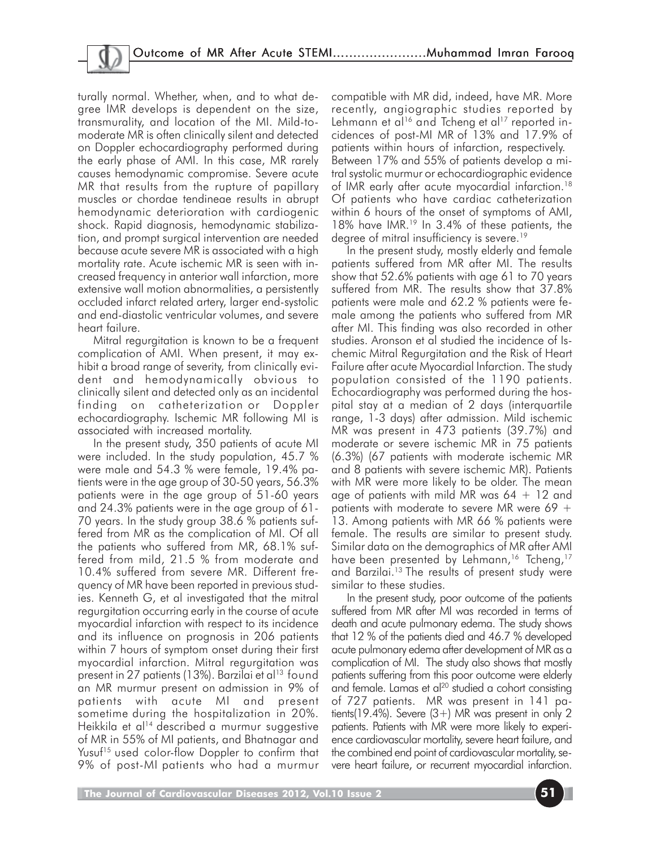turally normal. Whether, when, and to what degree IMR develops is dependent on the size, transmurality, and location of the MI. Mild-tomoderate MR is often clinically silent and detected on Doppler echocardiography performed during the early phase of AMI. In this case, MR rarely causes hemodynamic compromise. Severe acute MR that results from the rupture of papillary muscles or chordae tendineae results in abrupt hemodynamic deterioration with cardiogenic shock. Rapid diagnosis, hemodynamic stabilization, and prompt surgical intervention are needed because acute severe MR is associated with a high mortality rate. Acute ischemic MR is seen with increased frequency in anterior wall infarction, more extensive wall motion abnormalities, a persistently occluded infarct related artery, larger end-systolic and end-diastolic ventricular volumes, and severe heart failure.

Mitral regurgitation is known to be a frequent complication of AMI. When present, it may exhibit a broad range of severity, from clinically evident and hemodynamically obvious to clinically silent and detected only as an incidental finding on catheterization or Doppler echocardiography. Ischemic MR following MI is associated with increased mortality.

In the present study, 350 patients of acute MI were included. In the study population, 45.7 % were male and 54.3 % were female, 19.4% patients were in the age group of 30-50 years, 56.3% patients were in the age group of 51-60 years and 24.3% patients were in the age group of 61- 70 years. In the study group 38.6 % patients suffered from MR as the complication of MI. Of all the patients who suffered from MR, 68.1% suffered from mild, 21.5 % from moderate and 10.4% suffered from severe MR. Different frequency of MR have been reported in previous studies. Kenneth G, et al investigated that the mitral regurgitation occurring early in the course of acute myocardial infarction with respect to its incidence and its influence on prognosis in 206 patients within 7 hours of symptom onset during their first myocardial infarction. Mitral regurgitation was present in 27 patients (13%). Barzilai et al<sup>13</sup> found an MR murmur present on admission in 9% of patients with acute MI and present sometime during the hospitalization in 20%. Heikkila et al<sup>14</sup> described a murmur suggestive of MR in 55% of MI patients, and Bhatnagar and Yusuf15 used color-flow Doppler to confirm that 9% of post-MI patients who had a murmur

compatible with MR did, indeed, have MR. More recently, angiographic studies reported by Lehmann et al<sup>16</sup> and Tcheng et al<sup>17</sup> reported incidences of post-MI MR of 13% and 17.9% of patients within hours of infarction, respectively. Between 17% and 55% of patients develop a mitral systolic murmur or echocardiographic evidence of IMR early after acute myocardial infarction.18 Of patients who have cardiac catheterization within 6 hours of the onset of symptoms of AMI, 18% have IMR.<sup>19</sup> In 3.4% of these patients, the degree of mitral insufficiency is severe.<sup>19</sup>

In the present study, mostly elderly and female patients suffered from MR after MI. The results show that 52.6% patients with age 61 to 70 years suffered from MR. The results show that 37.8% patients were male and 62.2 % patients were female among the patients who suffered from MR after MI. This finding was also recorded in other studies. Aronson et al studied the incidence of Ischemic Mitral Regurgitation and the Risk of Heart Failure after acute Myocardial Infarction. The study population consisted of the 1190 patients. Echocardiography was performed during the hospital stay at a median of 2 days (interquartile range, 1-3 days) after admission. Mild ischemic MR was present in 473 patients (39.7%) and moderate or severe ischemic MR in 75 patients (6.3%) (67 patients with moderate ischemic MR and 8 patients with severe ischemic MR). Patients with MR were more likely to be older. The mean age of patients with mild MR was  $64 + 12$  and patients with moderate to severe MR were 69  $+$ 13. Among patients with MR 66 % patients were female. The results are similar to present study. Similar data on the demographics of MR after AMI have been presented by Lehmann,<sup>16</sup> Tcheng,<sup>17</sup> and Barzilai.13 The results of present study were similar to these studies.

In the present study, poor outcome of the patients suffered from MR after MI was recorded in terms of death and acute pulmonary edema. The study shows that 12 % of the patients died and 46.7 % developed acute pulmonary edema after development of MR as a complication of MI. The study also shows that mostly patients suffering from this poor outcome were elderly and female. Lamas et al<sup>20</sup> studied a cohort consisting of 727 patients. MR was present in 141 patients(19.4%). Severe  $(3+)$  MR was present in only 2 patients. Patients with MR were more likely to experience cardiovascular mortality, severe heart failure, and the combined end point of cardiovascular mortality, severe heart failure, or recurrent myocardial infarction.

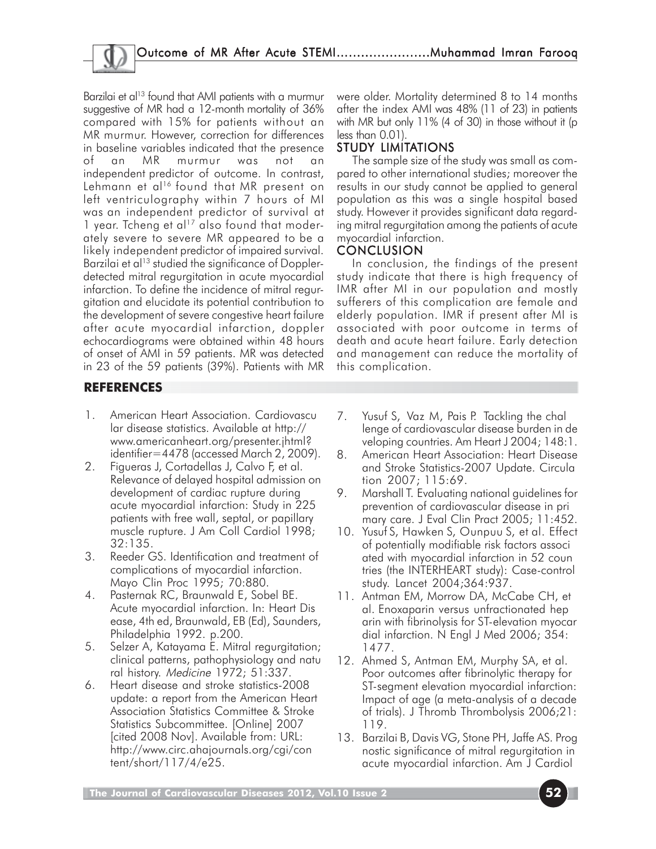Barzilai et al<sup>13</sup> found that AMI patients with a murmur suggestive of MR had a 12-month mortality of 36% compared with 15% for patients without an MR murmur. However, correction for differences in baseline variables indicated that the presence of an MR murmur was not an independent predictor of outcome. In contrast, Lehmann et al<sup>16</sup> found that MR present on left ventriculography within 7 hours of MI was an independent predictor of survival at 1 year. Tcheng et al<sup>17</sup> also found that moderately severe to severe MR appeared to be a likely independent predictor of impaired survival. Barzilai et al<sup>13</sup> studied the significance of Dopplerdetected mitral regurgitation in acute myocardial infarction. To define the incidence of mitral regurgitation and elucidate its potential contribution to the development of severe congestive heart failure after acute myocardial infarction, doppler echocardiograms were obtained within 48 hours of onset of AMI in 59 patients. MR was detected in 23 of the 59 patients (39%). Patients with MR were older. Mortality determined 8 to 14 months after the index AMI was 48% (11 of 23) in patients with MR but only 11% (4 of 30) in those without it (p less than 0.01)

# STUDY LIMITATIONS

The sample size of the study was small as compared to other international studies; moreover the results in our study cannot be applied to general population as this was a single hospital based study. However it provides significant data regarding mitral regurgitation among the patients of acute myocardial infarction.

## **CONCLUSION**

In conclusion, the findings of the present study indicate that there is high frequency of IMR after MI in our population and mostly sufferers of this complication are female and elderly population. IMR if present after MI is associated with poor outcome in terms of death and acute heart failure. Early detection and management can reduce the mortality of this complication.

## **REFERENCES**

- 1. American Heart Association. Cardiovascu lar disease statistics. Available at http:// www.americanheart.org/presenter.jhtml? identifier=4478 (accessed March 2, 2009).
- 2. Figueras J, Cortadellas J, Calvo F, et al. Relevance of delayed hospital admission on development of cardiac rupture during acute myocardial infarction: Study in 225 patients with free wall, septal, or papillary muscle rupture. J Am Coll Cardiol 1998; 32:135.
- 3. Reeder GS. Identification and treatment of complications of myocardial infarction. Mayo Clin Proc 1995; 70:880.
- 4. Pasternak RC, Braunwald E, Sobel BE. Acute myocardial infarction. In: Heart Dis ease, 4th ed, Braunwald, EB (Ed), Saunders, Philadelphia 1992. p.200.
- 5. Selzer A, Katayama E. Mitral regurgitation; clinical patterns, pathophysiology and natu ral history. Medicine 1972; 51:337.
- 6. Heart disease and stroke statistics-2008 update: a report from the American Heart Association Statistics Committee & Stroke Statistics Subcommittee. [Online] 2007 [cited 2008 Nov]. Available from: URL: http://www.circ.ahajournals.org/cgi/con tent/short/117/4/e25.
- 7. Yusuf S, Vaz M, Pais P. Tackling the chal lenge of cardiovascular disease burden in de veloping countries. Am Heart J 2004; 148:1.
- 8. American Heart Association: Heart Disease and Stroke Statistics-2007 Update. Circula tion 2007; 115:69.
- 9. Marshall T. Evaluating national guidelines for prevention of cardiovascular disease in pri mary care. J Eval Clin Pract 2005; 11:452.
- 10. Yusuf S, Hawken S, Ounpuu S, et al. Effect of potentially modifiable risk factors associ ated with myocardial infarction in 52 coun tries (the INTERHEART study): Case-control study. Lancet 2004;364:937.
- 11. Antman EM, Morrow DA, McCabe CH, et al. Enoxaparin versus unfractionated hep arin with fibrinolysis for ST-elevation myocar dial infarction. N Engl J Med 2006; 354: 1477.
- 12. Ahmed S, Antman EM, Murphy SA, et al. Poor outcomes after fibrinolytic therapy for SI-segment elevation myocardial infarction: Impact of age (a meta-analysis of a decade of trials). J Thromb Thrombolysis 2006;21: 119.
- 13. Barzilai B, Davis VG, Stone PH, Jaffe AS. Prog nostic significance of mitral regurgitation in acute myocardial infarction. Am J Cardiol